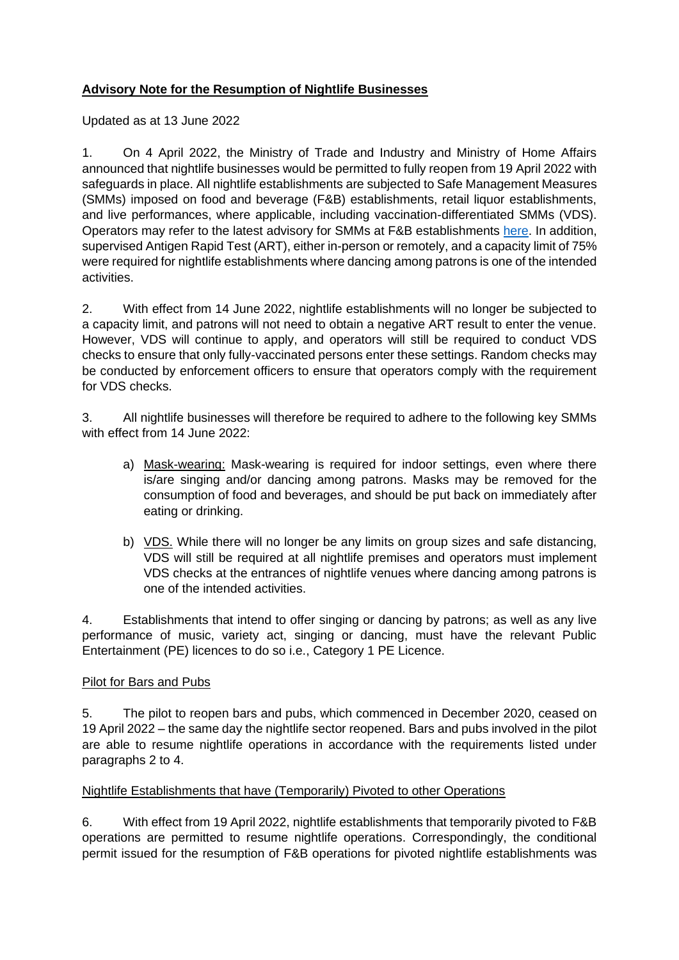## **Advisory Note for the Resumption of Nightlife Businesses**

Updated as at 13 June 2022

1. On 4 April 2022, the Ministry of Trade and Industry and Ministry of Home Affairs announced that nightlife businesses would be permitted to fully reopen from 19 April 2022 with safeguards in place. All nightlife establishments are subjected to Safe Management Measures (SMMs) imposed on food and beverage (F&B) establishments, retail liquor establishments, and live performances, where applicable, including vaccination-differentiated SMMs (VDS). Operators may refer to the latest advisory for SMMs at F&B establishments [here.](https://www.enterprisesg.gov.sg/covid-19/safe-distance) In addition, supervised Antigen Rapid Test (ART), either in-person or remotely, and a capacity limit of 75% were required for nightlife establishments where dancing among patrons is one of the intended activities.

2. With effect from 14 June 2022, nightlife establishments will no longer be subjected to a capacity limit, and patrons will not need to obtain a negative ART result to enter the venue. However, VDS will continue to apply, and operators will still be required to conduct VDS checks to ensure that only fully-vaccinated persons enter these settings. Random checks may be conducted by enforcement officers to ensure that operators comply with the requirement for VDS checks.

3. All nightlife businesses will therefore be required to adhere to the following key SMMs with effect from 14 June 2022:

- a) Mask-wearing: Mask-wearing is required for indoor settings, even where there is/are singing and/or dancing among patrons. Masks may be removed for the consumption of food and beverages, and should be put back on immediately after eating or drinking.
- b) VDS. While there will no longer be any limits on group sizes and safe distancing, VDS will still be required at all nightlife premises and operators must implement VDS checks at the entrances of nightlife venues where dancing among patrons is one of the intended activities.

4. Establishments that intend to offer singing or dancing by patrons; as well as any live performance of music, variety act, singing or dancing, must have the relevant Public Entertainment (PE) licences to do so i.e., Category 1 PE Licence.

## Pilot for Bars and Pubs

5. The pilot to reopen bars and pubs, which commenced in December 2020, ceased on 19 April 2022 – the same day the nightlife sector reopened. Bars and pubs involved in the pilot are able to resume nightlife operations in accordance with the requirements listed under paragraphs 2 to 4.

## Nightlife Establishments that have (Temporarily) Pivoted to other Operations

6. With effect from 19 April 2022, nightlife establishments that temporarily pivoted to F&B operations are permitted to resume nightlife operations. Correspondingly, the conditional permit issued for the resumption of F&B operations for pivoted nightlife establishments was